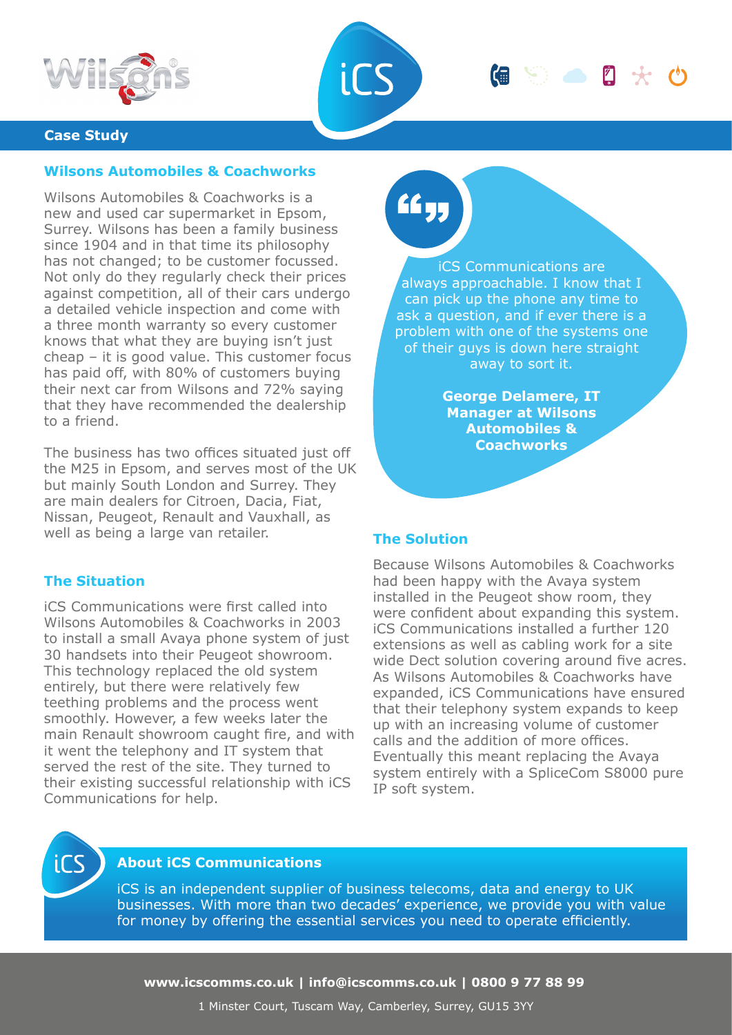



### **Case Study**

## **Wilsons Automobiles & Coachworks**

Wilsons Automobiles & Coachworks is a new and used car supermarket in Epsom, Surrey. Wilsons has been a family business since 1904 and in that time its philosophy has not changed; to be customer focussed. Not only do they regularly check their prices against competition, all of their cars undergo a detailed vehicle inspection and come with a three month warranty so every customer knows that what they are buying isn't just cheap – it is good value. This customer focus has paid off, with 80% of customers buying their next car from Wilsons and 72% saying that they have recommended the dealership to a friend.

The business has two offices situated just off the M25 in Epsom, and serves most of the UK but mainly South London and Surrey. They are main dealers for Citroen, Dacia, Fiat, Nissan, Peugeot, Renault and Vauxhall, as well as being a large van retailer.

# **The Situation**

iCS Communications were first called into Wilsons Automobiles & Coachworks in 2003 to install a small Avaya phone system of just 30 handsets into their Peugeot showroom. This technology replaced the old system entirely, but there were relatively few teething problems and the process went smoothly. However, a few weeks later the main Renault showroom caught fire, and with it went the telephony and IT system that served the rest of the site. They turned to their existing successful relationship with iCS Communications for help.

££y,

iCS Communications are always approachable. I know that I can pick up the phone any time to ask a question, and if ever there is a problem with one of the systems one of their guys is down here straight away to sort it.

偏等的风光

**George Delamere, IT Manager at Wilsons Automobiles & Coachworks**

#### **The Solution**

Because Wilsons Automobiles & Coachworks had been happy with the Avaya system installed in the Peugeot show room, they were confident about expanding this system. iCS Communications installed a further 120 extensions as well as cabling work for a site wide Dect solution covering around five acres. As Wilsons Automobiles & Coachworks have expanded, iCS Communications have ensured that their telephony system expands to keep up with an increasing volume of customer calls and the addition of more offices. Eventually this meant replacing the Avaya system entirely with a SpliceCom S8000 pure IP soft system.



# **About iCS Communications**

iCS is an independent supplier of business telecoms, data and energy to UK businesses. With more than two decades' experience, we provide you with value for money by offering the essential services you need to operate efficiently.

**www.icscomms.co.uk | info@icscomms.co.uk | 0800 9 77 88 99**

1 Minster Court, Tuscam Way, Camberley, Surrey, GU15 3YY